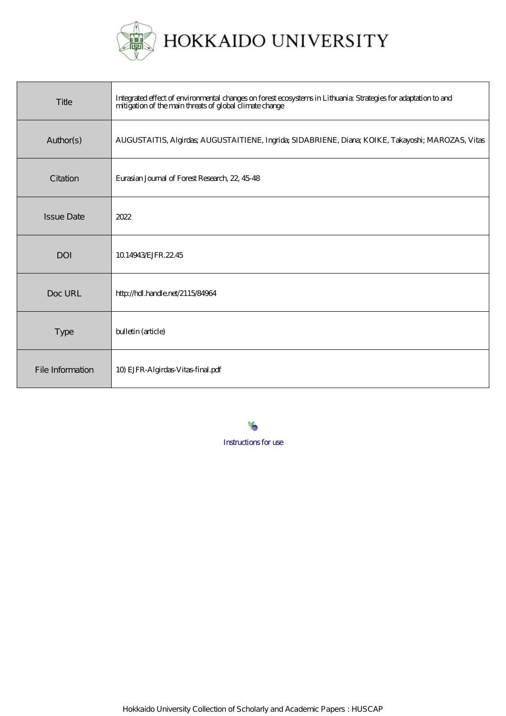

| Title             | Integrated effect of environmental changes on forest ecosystems in Lithuania: Strategies for adaptation to and<br>mitigation of the main threats of global climate change |
|-------------------|---------------------------------------------------------------------------------------------------------------------------------------------------------------------------|
| Author(s)         | AUGUSTAITIS, Algirdas; AUGUSTAITIENE, Ingrida; SIDABRIENE, Diana; KOIKE, Takayoshi; MAROZAS, Vitas                                                                        |
| Citation          | Eurasian Journal of Forest Research, 22, 45-48                                                                                                                            |
| <b>Issue Date</b> | 2022                                                                                                                                                                      |
| <b>DOI</b>        | 10.14943 EJFR. 22.45                                                                                                                                                      |
| Doc URL           | http://hdl.handle.net/2115/84964                                                                                                                                          |
| <b>Type</b>       | bulletin (article)                                                                                                                                                        |
| File Information  | 10) EJFR-Algirdas-Vitas-final.pdf                                                                                                                                         |

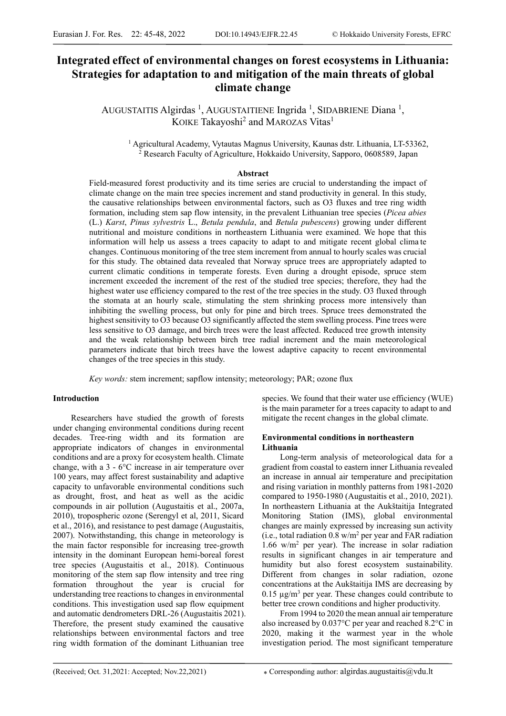# **Integrated effect of environmental changes on forest ecosystems in Lithuania: Strategies for adaptation to and mitigation of the main threats of global climate change**

AUGUSTAITIS Algirdas<sup>1</sup>, AUGUSTAITIENE Ingrida<sup>1</sup>, SIDABRIENE Diana<sup>1</sup>, KOIKE Takayoshi<sup>2</sup> and MAROZAS Vitas<sup>1</sup>

<sup>1</sup> Agricultural Academy, Vytautas Magnus University, Kaunas dstr. Lithuania, LT-53362, <sup>2</sup> Research Faculty of Agriculture, Hokkaido University, Sapporo, 0608589, Japan

#### **Abstract**

Field-measured forest productivity and its time series are crucial to understanding the impact of climate change on the main tree species increment and stand productivity in general. In this study, the causative relationships between environmental factors, such as O3 fluxes and tree ring width formation, including stem sap flow intensity, in the prevalent Lithuanian tree species (*Picea abies*  (L.) *Karst*, *Pinus sylvestris* L., *Betula pendula*, and *Betula pubescens*) growing under different nutritional and moisture conditions in northeastern Lithuania were examined. We hope that this information will help us assess a trees capacity to adapt to and mitigate recent global clima te changes. Continuous monitoring of the tree stem increment from annual to hourly scales was crucial for this study. The obtained data revealed that Norway spruce trees are appropriately adapted to current climatic conditions in temperate forests. Even during a drought episode, spruce stem increment exceeded the increment of the rest of the studied tree species; therefore, they had the highest water use efficiency compared to the rest of the tree species in the study. O3 fluxed through the stomata at an hourly scale, stimulating the stem shrinking process more intensively than inhibiting the swelling process, but only for pine and birch trees. Spruce trees demonstrated the highest sensitivity to O3 because O3 significantly affected the stem swelling process. Pine trees were less sensitive to O3 damage, and birch trees were the least affected. Reduced tree growth intensity and the weak relationship between birch tree radial increment and the main meteorological parameters indicate that birch trees have the lowest adaptive capacity to recent environmental changes of the tree species in this study.

*Key words:* stem increment; sapflow intensity; meteorology; PAR; ozone flux

#### **Introduction**

Researchers have studied the growth of forests under changing environmental conditions during recent decades. Tree-ring width and its formation are appropriate indicators of changes in environmental conditions and are a proxy for ecosystem health. Climate change, with a 3 - 6°C increase in air temperature over 100 years, may affect forest sustainability and adaptive capacity to unfavorable environmental conditions such as drought, frost, and heat as well as the acidic compounds in air pollution (Augustaitis et al., 2007a, 2010), tropospheric ozone (Serengyl et al, 2011, Sicard et al., 2016), and resistance to pest damage (Augustaitis, 2007). Notwithstanding, this change in meteorology is the main factor responsible for increasing tree-growth intensity in the dominant European hemi-boreal forest tree species (Augustaitis et al., 2018). Continuous monitoring of the stem sap flow intensity and tree ring formation throughout the year is crucial for understanding tree reactions to changes in environmental conditions. This investigation used sap flow equipment and automatic dendrometers DRL-26 (Augustaitis 2021). Therefore, the present study examined the causative relationships between environmental factors and tree ring width formation of the dominant Lithuanian tree

species. We found that their water use efficiency (WUE) is the main parameter for a trees capacity to adapt to and mitigate the recent changes in the global climate.

# **Environmental conditions in northeastern Lithuania**

Long-term analysis of meteorological data for a gradient from coastal to eastern inner Lithuania revealed an increase in annual air temperature and precipitation and rising variation in monthly patterns from 1981-2020 compared to 1950-1980 (Augustaitis et al., 2010, 2021). In northeastern Lithuania at the Aukštaitija Integrated Monitoring Station (IMS), global environmental changes are mainly expressed by increasing sun activity (i.e., total radiation 0.8 w/m2 per year and FAR radiation 1.66 w/m<sup>2</sup> per year). The increase in solar radiation results in significant changes in air temperature and humidity but also forest ecosystem sustainability. Different from changes in solar radiation, ozone concentrations at the Aukštaitija IMS are decreasing by  $0.15 \mu g/m^3$  per year. These changes could contribute to better tree crown conditions and higher productivity.

From 1994 to 2020 the mean annual air temperature also increased by 0.037°C per year and reached 8.2°C in 2020, making it the warmest year in the whole investigation period. The most significant temperature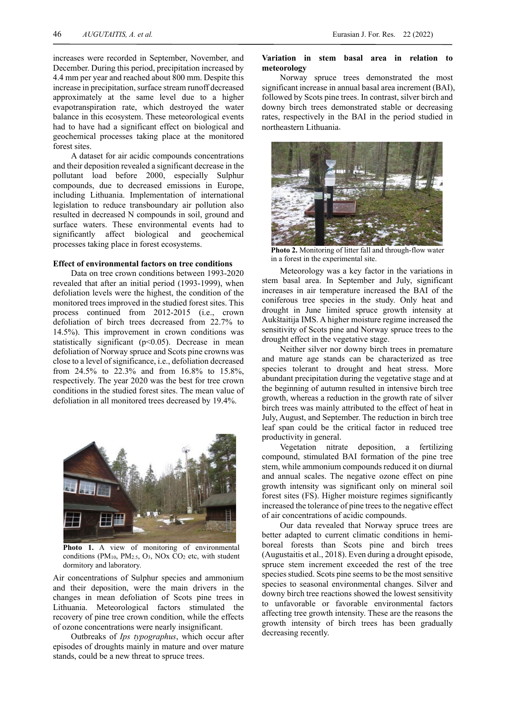increases were recorded in September, November, and December. During this period, precipitation increased by 4.4 mm per year and reached about 800 mm. Despite this increase in precipitation, surface stream runoff decreased approximately at the same level due to a higher evapotranspiration rate, which destroyed the water balance in this ecosystem. These meteorological events had to have had a significant effect on biological and geochemical processes taking place at the monitored forest sites.

A dataset for air acidic compounds concentrations and their deposition revealed a significant decrease in the pollutant load before 2000, especially Sulphur compounds, due to decreased emissions in Europe, including Lithuania. Implementation of international legislation to reduce transboundary air pollution also resulted in decreased N compounds in soil, ground and surface waters. These environmental events had to significantly affect biological and geochemical processes taking place in forest ecosystems.

## **Effect of environmental factors on tree conditions**

Data on tree crown conditions between 1993-2020 revealed that after an initial period (1993-1999), when defoliation levels were the highest, the condition of the monitored trees improved in the studied forest sites. This process continued from 2012-2015 (i.e., crown defoliation of birch trees decreased from 22.7% to 14.5%). This improvement in crown conditions was statistically significant ( $p$ <0.05). Decrease in mean defoliation of Norway spruce and Scots pine crowns was close to a level of significance, i.e., defoliation decreased from 24.5% to 22.3% and from 16.8% to 15.8%, respectively. The year 2020 was the best for tree crown conditions in the studied forest sites. The mean value of defoliation in all monitored trees decreased by 19.4%.



**Photo 1.** A view of monitoring of environmental conditions  $(PM_{10}, PM_{2.5}, O_3, NOx CO_2$  etc, with student dormitory and laboratory.

Air concentrations of Sulphur species and ammonium and their deposition, were the main drivers in the changes in mean defoliation of Scots pine trees in Lithuania. Meteorological factors stimulated the recovery of pine tree crown condition, while the effects of ozone concentrations were nearly insignificant.

Outbreaks of *Ips typographus*, which occur after episodes of droughts mainly in mature and over mature stands, could be a new threat to spruce trees.

## **Variation in stem basal area in relation to meteorology**

Norway spruce trees demonstrated the most significant increase in annual basal area increment (BAI), followed by Scots pine trees. In contrast, silver birch and downy birch trees demonstrated stable or decreasing rates, respectively in the BAI in the period studied in northeastern Lithuania.



**Photo 2.** Monitoring of litter fall and through-flow water in a forest in the experimental site.

Meteorology was a key factor in the variations in stem basal area. In September and July, significant increases in air temperature increased the BAI of the coniferous tree species in the study. Only heat and drought in June limited spruce growth intensity at Aukštaitija IMS. A higher moisture regime increased the sensitivity of Scots pine and Norway spruce trees to the drought effect in the vegetative stage.

Neither silver nor downy birch trees in premature and mature age stands can be characterized as tree species tolerant to drought and heat stress. More abundant precipitation during the vegetative stage and at the beginning of autumn resulted in intensive birch tree growth, whereas a reduction in the growth rate of silver birch trees was mainly attributed to the effect of heat in July, August, and September. The reduction in birch tree leaf span could be the critical factor in reduced tree productivity in general.

Vegetation nitrate deposition, a fertilizing compound, stimulated BAI formation of the pine tree stem, while ammonium compounds reduced it on diurnal and annual scales. The negative ozone effect on pine growth intensity was significant only on mineral soil forest sites (FS). Higher moisture regimes significantly increased the tolerance of pine trees to the negative effect of air concentrations of acidic compounds.

Our data revealed that Norway spruce trees are better adapted to current climatic conditions in hemiboreal forests than Scots pine and birch trees (Augustaitis et al., 2018). Even during a drought episode, spruce stem increment exceeded the rest of the tree species studied. Scots pine seems to be the most sensitive species to seasonal environmental changes. Silver and downy birch tree reactions showed the lowest sensitivity to unfavorable or favorable environmental factors affecting tree growth intensity. These are the reasons the growth intensity of birch trees has been gradually decreasing recently.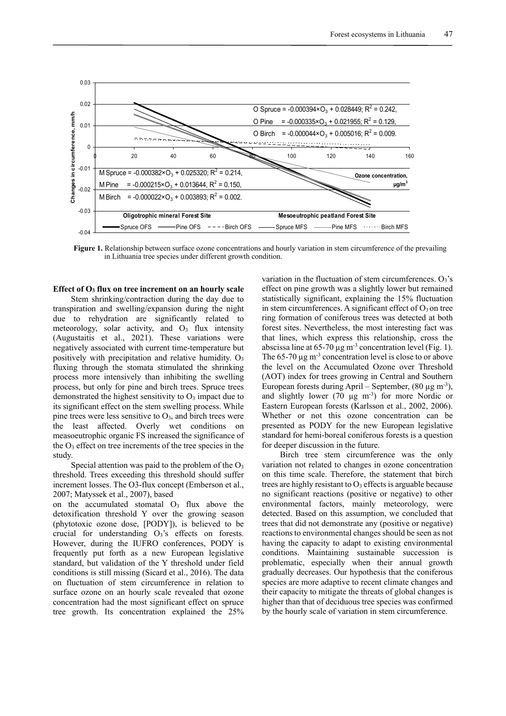

**Figure 1.** Relationship between surface ozone concentrations and hourly variation in stem circumference of the prevailing in Lithuania tree species under different growth condition.

**Effect of O3 flux on tree increment on an hourly scale**

Stem shrinking/contraction during the day due to transpiration and swelling/expansion during the night due to rehydration are significantly related to meteorology, solar activity, and  $O<sub>3</sub>$  flux intensity (Augustaitis et al., 2021). These variations were negatively associated with current time-temperature but positively with precipitation and relative humidity.  $O_3$ fluxing through the stomata stimulated the shrinking process more intensively than inhibiting the swelling process, but only for pine and birch trees. Spruce trees demonstrated the highest sensitivity to  $O<sub>3</sub>$  impact due to its significant effect on the stem swelling process. While pine trees were less sensitive to  $O<sub>3</sub>$ , and birch trees were the least affected. Overly wet conditions on measoeutrophic organic FS increased the significance of the  $O_3$  effect on tree increments of the tree species in the study.

Special attention was paid to the problem of the  $O<sub>3</sub>$ threshold. Trees exceeding this threshold should suffer increment losses. The O3-flux concept (Emberson et al., 2007; Matyssek et al., 2007), based

on the accumulated stomatal  $O<sub>3</sub>$  flux above the detoxification threshold Y over the growing season (phytotoxic ozone dose, [PODY]), is believed to be crucial for understanding O3's effects on forests. However, during the IUFRO conferences, PODY is frequently put forth as a new European legislative standard, but validation of the Y threshold under field conditions is still missing (Sicard et al., 2016). The data on fluctuation of stem circumference in relation to surface ozone on an hourly scale revealed that ozone concentration had the most significant effect on spruce tree growth. Its concentration explained the 25% variation in the fluctuation of stem circumferences.  $O_3$ 's effect on pine growth was a slightly lower but remained statistically significant, explaining the 15% fluctuation in stem circumferences. A significant effect of  $O_3$  on tree ring formation of coniferous trees was detected at both forest sites. Nevertheless, the most interesting fact was that lines, which express this relationship, cross the abscissa line at  $65-70 \,\mu g$  m<sup>-3</sup> concentration level (Fig. 1). The  $65-70 \mu g \, \text{m}^{-3}$  concentration level is close to or above the level on the Accumulated Ozone over Threshold (AOT) index for trees growing in Central and Southern European forests during April – September,  $(80 \mu g m^{-3})$ , and slightly lower (70  $\mu$ g m<sup>-3</sup>) for more Nordic or Eastern European forests (Karlsson et al., 2002, 2006). Whether or not this ozone concentration can be presented as PODY for the new European legislative standard for hemi-boreal coniferous forests is a question for deeper discussion in the future.

Birch tree stem circumference was the only variation not related to changes in ozone concentration on this time scale. Therefore, the statement that birch trees are highly resistant to  $O_3$  effects is arguable because no significant reactions (positive or negative) to other environmental factors, mainly meteorology, were detected. Based on this assumption, we concluded that trees that did not demonstrate any (positive or negative) reactions to environmental changes should be seen as not having the capacity to adapt to existing environmental conditions. Maintaining sustainable succession is problematic, especially when their annual growth gradually decreases. Our hypothesis that the coniferous species are more adaptive to recent climate changes and their capacity to mitigate the threats of global changes is higher than that of deciduous tree species was confirmed by the hourly scale of variation in stem circumference.